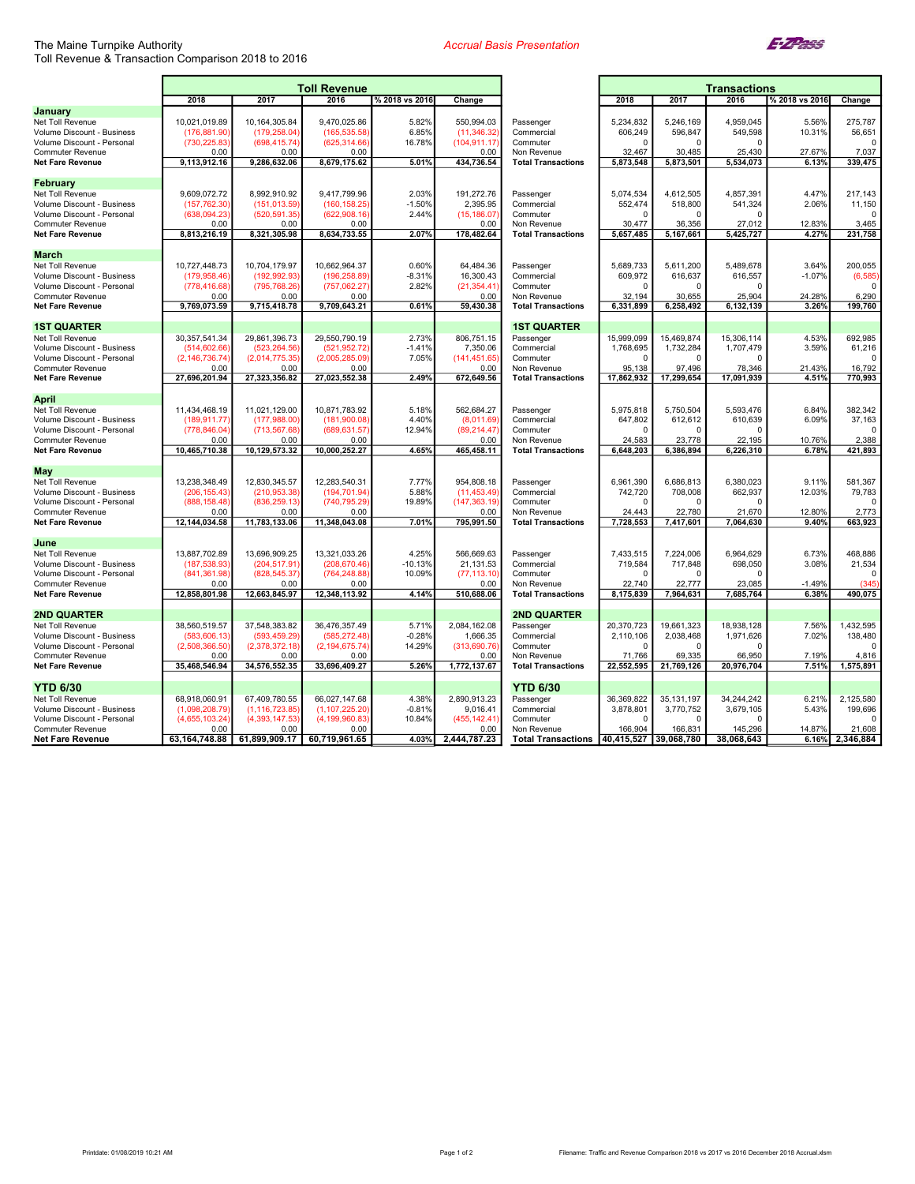## The Maine Turnpike Authority Toll Revenue & Transaction Comparison 2018 to 2016

## Accrual Basis Presentation



|                                                          | <b>Toll Revenue</b>            |                                |                               |                     |                               | <b>Transactions</b>                      |                     |                      |                     |                 |                    |
|----------------------------------------------------------|--------------------------------|--------------------------------|-------------------------------|---------------------|-------------------------------|------------------------------------------|---------------------|----------------------|---------------------|-----------------|--------------------|
|                                                          | 2018                           | 2017                           | 2016                          | % 2018 vs 2016      | Change                        |                                          | 2018                | 2017                 | 2016                | % 2018 vs 2016  | Change             |
| January                                                  |                                |                                |                               |                     |                               |                                          |                     |                      |                     |                 |                    |
| Net Toll Revenue                                         | 10,021,019.89                  | 10, 164, 305.84                | 9,470,025.86                  | 5.82%               | 550,994.03                    | Passenger                                | 5,234,832           | 5,246,169            | 4,959,045           | 5.56%           | 275,787            |
| Volume Discount - Business                               | (176, 881.90)                  | (179,258.04                    | (165,535.58                   | 6.85%               | (11, 346.32)                  | Commercial                               | 606,249             | 596,847              | 549,598             | 10.31%          | 56,651             |
| Volume Discount - Personal                               | (730.225.83                    | (698,415.74                    | (625,314.66                   | 16.78%              | (104, 911.17                  | Commuter                                 | $\Omega$            | $\Omega$             | $\Omega$            |                 | $\Omega$           |
| <b>Commuter Revenue</b>                                  | 0.00                           | 0.00                           | 0.00                          |                     | 0.00                          | Non Revenue                              | 32,467              | 30,485               | 25,430              | 27.67%<br>6.13% | 7,037<br>339,475   |
| <b>Net Fare Revenue</b>                                  | 9,113,912.16                   | 9,286,632.06                   | 8,679,175.62                  | 5.01%               | 434,736.54                    | <b>Total Transactions</b>                | 5,873,548           | 5,873,501            | 5,534,073           |                 |                    |
| February                                                 |                                |                                |                               |                     |                               |                                          |                     |                      |                     |                 |                    |
| Net Toll Revenue                                         | 9,609,072.72                   | 8,992,910.92                   | 9,417,799.96                  | 2.03%               | 191,272.76                    | Passenger                                | 5,074,534           | 4,612,505            | 4,857,391           | 4.47%           | 217,143            |
| Volume Discount - Business                               | (157, 762.30)                  | (151, 013.59)                  | (160, 158.25)                 | $-1.50%$            | 2,395.95                      | Commercial                               | 552,474             | 518,800              | 541,324             | 2.06%           | 11,150             |
| Volume Discount - Personal                               | (638,094.23                    | (520.591.35                    | (622,908.16                   | 2.44%               | (15, 186.07)                  | Commuter                                 | $\Omega$            | $\Omega$             | $\Omega$            |                 | $\Omega$           |
| <b>Commuter Revenue</b>                                  | 0.00                           | 0.00                           | 0.00                          |                     | 0.00                          | Non Revenue                              | 30.477              | 36,356               | 27.012              | 12.83%          | 3.465              |
| <b>Net Fare Revenue</b>                                  | 8,813,216.19                   | 8,321,305.98                   | 8,634,733.55                  | 2.07%               | 178,482.64                    | <b>Total Transactions</b>                | 5,657,485           | 5,167,661            | 5,425,727           | 4.27%           | 231,758            |
| <b>March</b>                                             |                                |                                |                               |                     |                               |                                          |                     |                      |                     |                 |                    |
| Net Toll Revenue                                         | 10,727,448.73                  | 10,704,179.97                  | 10,662,964.37                 | 0.60%               | 64,484.36                     | Passenger                                | 5,689,733           | 5,611,200            | 5,489,678           | 3.64%           | 200,055            |
| <b>Volume Discount - Business</b>                        | (179,958.46)                   | (192,992.93                    | (196,258.89)                  | $-8.31%$            | 16,300.43                     | Commercial                               | 609,972             | 616,637              | 616,557             | $-1.07%$        | (6, 585)           |
| Volume Discount - Personal                               | (778,416.68)                   | (795,768.26)                   | (757,062.27                   | 2.82%               | (21, 354.41)                  | Commuter                                 | $\Omega$            | $\Omega$             | $\Omega$            |                 | $\mathbf{0}$       |
| <b>Commuter Revenue</b>                                  | 0.00                           | 0.00                           | 0.00                          |                     | 0.00                          | Non Revenue                              | 32.194              | 30.655               | 25.904              | 24.28%          | 6.290              |
| <b>Net Fare Revenue</b>                                  | 9,769,073.59                   | 9,715,418.78                   | 9,709,643.21                  | 0.61%               | 59,430.38                     | <b>Total Transactions</b>                | 6,331,899           | 6,258,492            | 6,132,139           | 3.26%           | 199,760            |
| <b>1ST QUARTER</b>                                       |                                |                                |                               |                     |                               | <b>1ST QUARTER</b>                       |                     |                      |                     |                 |                    |
| Net Toll Revenue                                         | 30, 357, 541. 34               | 29,861,396.73                  | 29,550,790.19                 | 2.73%               | 806,751.15                    | Passenger                                | 15,999,099          | 15,469,874           | 15,306,114          | 4.53%           | 692,985            |
| Volume Discount - Business                               | (514, 602.66)                  | (523,264.56)                   | (521, 952.72)                 | $-1.41%$            | 7,350.06                      | Commercial                               | 1,768,695           | 1,732,284            | 1,707,479           | 3.59%           | 61,216             |
| Volume Discount - Personal                               | (2, 146, 736.74)               | (2,014,775.35)                 | (2,005,285.09)                | 7.05%               | (141, 451.65)                 | Commuter                                 | $\Omega$            | $\Omega$             | $\Omega$            |                 | $\Omega$           |
| <b>Commuter Revenue</b>                                  | 0.00                           | 0.00                           | 0.00                          |                     | 0.00                          | Non Revenue                              | 95,138              | 97,496               | 78,346              | 21.43%          | 16,792             |
| <b>Net Fare Revenue</b>                                  | 27,696,201.94                  | 27,323,356.82                  | 27,023,552.38                 | 2.49%               | 672,649.56                    | <b>Total Transactions</b>                | 17,862,932          | 17,299,654           | 17,091,939          | 4.51%           | 770,993            |
|                                                          |                                |                                |                               |                     |                               |                                          |                     |                      |                     |                 |                    |
| <b>April</b>                                             |                                |                                |                               | 5.18%               |                               |                                          | 5,975,818           |                      | 5,593,476           | 6.84%           | 382,342            |
| Net Toll Revenue<br>Volume Discount - Business           | 11,434,468.19<br>(189,911.77)  | 11,021,129.00<br>(177, 988.00) | 10,871,783.92<br>(181,900.08) | 4.40%               | 562,684.27<br>(8,011.69)      | Passenger<br>Commercial                  | 647,802             | 5,750,504<br>612,612 | 610,639             | 6.09%           | 37,163             |
| Volume Discount - Personal                               | (778,846.04)                   | (713, 567.68)                  | (689,631.57)                  | 12.94%              | (89,214.47                    | Commuter                                 | $\mathbf 0$         | $\Omega$             | $\Omega$            |                 | $\Omega$           |
| <b>Commuter Revenue</b>                                  | 0.00                           | 0.00                           | 0.00                          |                     | 0.00                          | Non Revenue                              | 24,583              | 23,778               | 22,195              | 10.76%          | 2,388              |
| <b>Net Fare Revenue</b>                                  | 10,465,710.38                  | 10,129,573.32                  | 10,000,252.27                 | 4.65%               | 465,458.11                    | <b>Total Transactions</b>                | 6,648,203           | 6,386,894            | 6,226,310           | 6.78%           | 421,893            |
|                                                          |                                |                                |                               |                     |                               |                                          |                     |                      |                     |                 |                    |
| <b>May</b>                                               |                                |                                |                               |                     |                               |                                          |                     |                      |                     |                 |                    |
| Net Toll Revenue                                         | 13,238,348.49                  | 12,830,345.57                  | 12,283,540.31                 | 7.77%               | 954,808.18                    | Passenger                                | 6,961,390           | 6,686,813            | 6.380.023           | 9.11%           | 581.367<br>79,783  |
| Volume Discount - Business<br>Volume Discount - Personal | (206, 155.43)<br>(888, 158.48) | (210,953.38<br>(836,259.13     | (194,701.94)<br>(740,795.29   | 5.88%<br>19.89%     | (11, 453.49)<br>(147, 363.19) | Commercial<br>Commuter                   | 742,720<br>$\Omega$ | 708,008<br>$\Omega$  | 662,937<br>0        | 12.03%          | $\Omega$           |
| <b>Commuter Revenue</b>                                  | 0.00                           | 0.00                           | 0.00                          |                     | 0.00                          | Non Revenue                              | 24,443              | 22,780               | 21,670              | 12.80%          | 2,773              |
| <b>Net Fare Revenue</b>                                  | 12,144,034.58                  | 11,783,133.06                  | 11,348,043.08                 | 7.01%               | 795,991.50                    | <b>Total Transactions</b>                | 7,728,553           | 7,417,601            | 7,064,630           | 9.40%           | 663,923            |
|                                                          |                                |                                |                               |                     |                               |                                          |                     |                      |                     |                 |                    |
| June                                                     |                                |                                |                               |                     |                               |                                          |                     |                      |                     |                 |                    |
| Net Toll Revenue                                         | 13,887,702.89                  | 13,696,909.25                  | 13,321,033.26                 | 4.25%               | 566,669.63                    | Passenger                                | 7,433,515           | 7,224,006            | 6.964.629           | 6.73%           | 468,886            |
| Volume Discount - Business<br>Volume Discount - Personal | (187, 538.93)<br>(841.361.98)  | (204,517.91<br>(828, 545. 37   | (208, 670.46)<br>(764.248.88) | $-10.13%$<br>10.09% | 21,131.53<br>(77.113.10)      | Commercial<br>Commuter                   | 719,584             | 717,848<br>$\Omega$  | 698,050<br>$\Omega$ | 3.08%           | 21,534<br>$\Omega$ |
| <b>Commuter Revenue</b>                                  | 0.00                           | 0.00                           | 0.00                          |                     | 0.00                          | Non Revenue                              | 22,740              | 22,777               | 23,085              | $-1.49%$        | (345)              |
| <b>Net Fare Revenue</b>                                  | 12,858,801.98                  | 12,663,845.97                  | 12,348,113.92                 | 4.14%               | 510,688.06                    | <b>Total Transactions</b>                | 8,175,839           | 7,964,631            | 7,685,764           | 6.38%           | 490,075            |
|                                                          |                                |                                |                               |                     |                               |                                          |                     |                      |                     |                 |                    |
| <b>2ND QUARTER</b>                                       |                                |                                |                               |                     |                               | <b>2ND QUARTER</b>                       |                     |                      |                     |                 |                    |
| Net Toll Revenue                                         | 38,560,519.57                  | 37,548,383.82                  | 36,476,357.49                 | 5.71%               | 2,084,162.08                  | Passenger                                | 20,370,723          | 19,661,323           | 18,938,128          | 7.56%           | 1,432,595          |
| Volume Discount - Business                               | (583,606.13)                   | (593,459.29)                   | (585, 272.48)                 | $-0.28%$            | 1,666.35                      | Commercial                               | 2,110,106           | 2,038,468            | 1,971,626           | 7.02%           | 138,480            |
| Volume Discount - Personal<br><b>Commuter Revenue</b>    | (2,508,366.50)<br>0.00         | (2,378,372.18)<br>0.00         | (2, 194, 675, 74)<br>0.00     | 14.29%              | (313,690.76)<br>0.00          | Commuter<br>Non Revenue                  | n<br>71,766         | $\Omega$<br>69,335   | $\Omega$<br>66,950  | 7.19%           | $\Omega$<br>4,816  |
| <b>Net Fare Revenue</b>                                  | 35,468,546.94                  | 34,576,552.35                  | 33,696,409.27                 | 5.26%               | 1,772,137.67                  | <b>Total Transactions</b>                | 22,552,595          | 21,769,126           | 20,976,704          | 7.51%           | 1,575,891          |
|                                                          |                                |                                |                               |                     |                               |                                          |                     |                      |                     |                 |                    |
| <b>YTD 6/30</b>                                          |                                |                                |                               |                     |                               | <b>YTD 6/30</b>                          |                     |                      |                     |                 |                    |
| Net Toll Revenue                                         | 68,918,060.91                  | 67,409,780.55                  | 66,027,147.68                 | 4.38%               | 2,890,913.23                  | Passenger                                | 36,369,822          | 35, 131, 197         | 34,244,242          | 6.21%           | 2,125,580          |
| Volume Discount - Business                               | (1,098,208.79)                 | (1, 116, 723.85)               | (1, 107, 225.20)              | $-0.81%$            | 9,016.41                      | Commercial                               | 3,878,801           | 3,770,752            | 3,679,105           | 5.43%           | 199,696            |
| Volume Discount - Personal                               | (4,655,103.24)                 | (4,393,147.53                  | (4.199.960.83)                | 10.84%              | (455,142.41                   | Commuter                                 |                     | $\Omega$             | $\Omega$            |                 | $\Omega$           |
| <b>Commuter Revenue</b>                                  | 0.00                           | 0.00                           | 0.00                          |                     | 0.00                          | Non Revenue                              | 166,904             | 166,831              | 145,296             | 14.87%          | 21,608             |
| <b>Net Fare Revenue</b>                                  | 63, 164, 748.88                | 61,899,909.17                  | 60,719,961.65                 | 4.03%               | 2,444,787.23                  | Total Transactions 40,415,527 39,068,780 |                     |                      | 38.068.643          | 6.16%           | 2,346,884          |